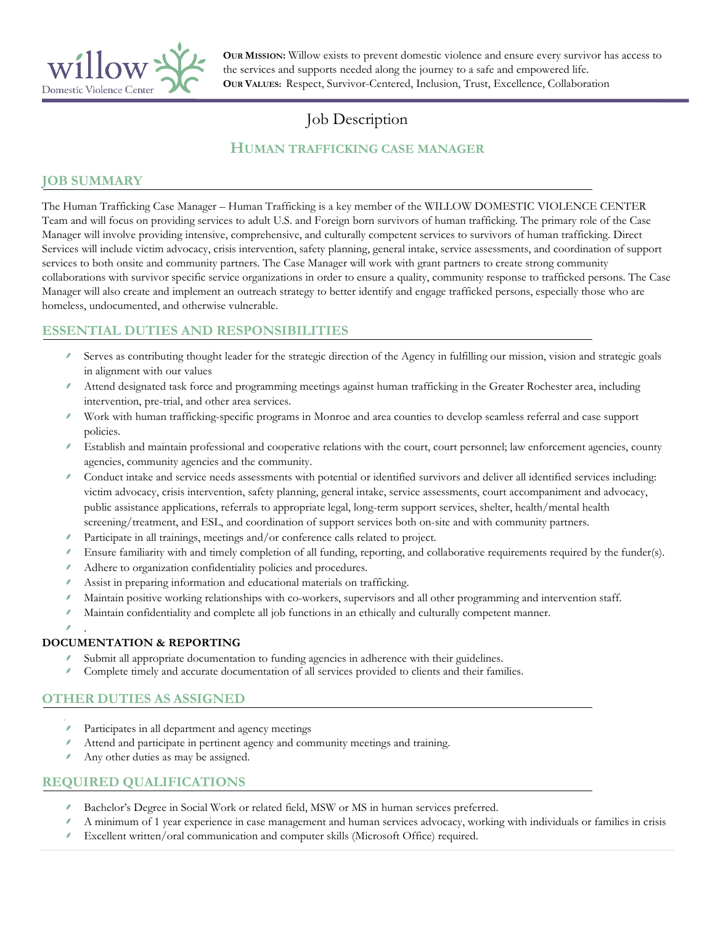

**OUR MISSION:** Willow exists to prevent domestic violence and ensure every survivor has access to the services and supports needed along the journey to a safe and empowered life. **OUR VALUES:** Respect, Survivor-Centered, Inclusion, Trust, Excellence, Collaboration

# Job Description

## **HUMAN TRAFFICKING CASE MANAGER**

## **JOB SUMMARY**

The Human Trafficking Case Manager – Human Trafficking is a key member of the WILLOW DOMESTIC VIOLENCE CENTER Team and will focus on providing services to adult U.S. and Foreign born survivors of human trafficking. The primary role of the Case Manager will involve providing intensive, comprehensive, and culturally competent services to survivors of human trafficking. Direct Services will include victim advocacy, crisis intervention, safety planning, general intake, service assessments, and coordination of support services to both onsite and community partners. The Case Manager will work with grant partners to create strong community collaborations with survivor specific service organizations in order to ensure a quality, community response to trafficked persons. The Case Manager will also create and implement an outreach strategy to better identify and engage trafficked persons, especially those who are homeless, undocumented, and otherwise vulnerable.

## **ESSENTIAL DUTIES AND RESPONSIBILITIES**

- Serves as contributing thought leader for the strategic direction of the Agency in fulfilling our mission, vision and strategic goals in alignment with our values
- Attend designated task force and programming meetings against human trafficking in the Greater Rochester area, including intervention, pre-trial, and other area services.
- Work with human trafficking-specific programs in Monroe and area counties to develop seamless referral and case support policies.
- Establish and maintain professional and cooperative relations with the court, court personnel; law enforcement agencies, county agencies, community agencies and the community.
- Conduct intake and service needs assessments with potential or identified survivors and deliver all identified services including: victim advocacy, crisis intervention, safety planning, general intake, service assessments, court accompaniment and advocacy, public assistance applications, referrals to appropriate legal, long-term support services, shelter, health/mental health screening/treatment, and ESL, and coordination of support services both on-site and with community partners.
- Participate in all trainings, meetings and/or conference calls related to project.
- Ensure familiarity with and timely completion of all funding, reporting, and collaborative requirements required by the funder(s).
- Adhere to organization confidentiality policies and procedures.
- Assist in preparing information and educational materials on trafficking.
- Maintain positive working relationships with co-workers, supervisors and all other programming and intervention staff.
- Maintain confidentiality and complete all job functions in an ethically and culturally competent manner.

.

#### **DOCUMENTATION & REPORTING**

- Submit all appropriate documentation to funding agencies in adherence with their guidelines.
- Complete timely and accurate documentation of all services provided to clients and their families.

#### **OTHER DUTIES AS ASSIGNED**

- í Participates in all department and agency meetings
- Attend and participate in pertinent agency and community meetings and training.
- Any other duties as may be assigned.

#### **REQUIRED QUALIFICATIONS**

- Bachelor's Degree in Social Work or related field, MSW or MS in human services preferred.
- A minimum of 1 year experience in case management and human services advocacy, working with individuals or families in crisis
- Excellent written/oral communication and computer skills (Microsoft Office) required.